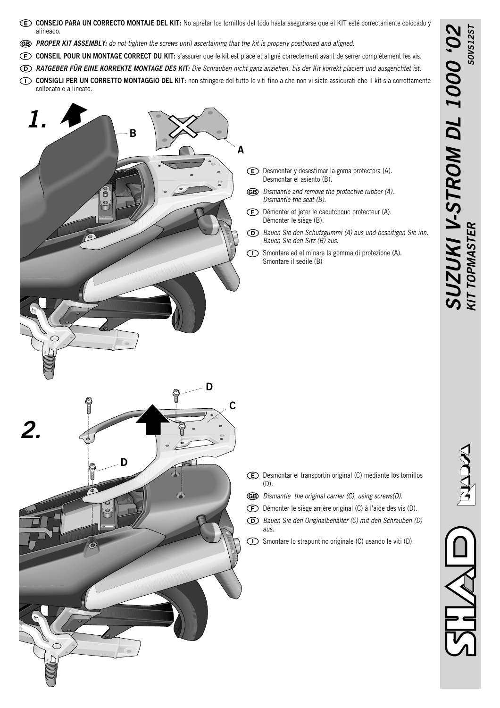- **CONSEJO PARA UN CORRECTO MONTAJE DEL KIT:** No apretar los tornillos del todo hasta asegurarse que el KIT esté correctamente colocado y alineado.
- *PROPER KIT ASSEMBLY: do not tighten the screws until ascertaining that the kit is properly positioned and aligned.*
- **CONSEIL POUR UN MONTAGE CORRECT DU KIT:** s'assurer que le kit est placé et aligné correctement avant de serrer complètement les vis.
- *RATGEBER FÜR EINE KORREKTE MONTAGE DES KIT: Die Schrauben nicht ganz anziehen, bis der Kit korrekt placiert und ausgerichtet ist.*
- **CONSIGLI PER UN CORRETTO MONTAGGIO DEL KIT:** non stringere del tutto le viti fino a che non vi siate assicurati che il kit sia correttamente collocato e allineato.



- Desmontar y desestimar la goma protectora (A). Desmontar el asiento (B).
- *Dismantle and remove the protective rubber (A). Dismantle the seat (B).*
- $\bigoplus$ Démonter et jeter le caoutchouc protecteur (A). Démonter le siège (B).
- *Bauen Sie den Schutzgummi (A) aus und beseitigen Sie ihn. Bauen Sie den Sitz (B) aus.*
- Smontare ed eliminare la gomma di protezione (A). Smontare il sedile (B)



- Desmontar el transportin original (C) mediante los tornillos (D).
- *Dismantle the original carrier (C), using screws(D).*
- Démonter le siège arrière original (C) à l'aide des vis (D).
- *Bauen Sie den Originalbehälter (C) mit den Schrauben (D) aus.*
- Smontare lo strapuntino originale (C) usando le viti (D).